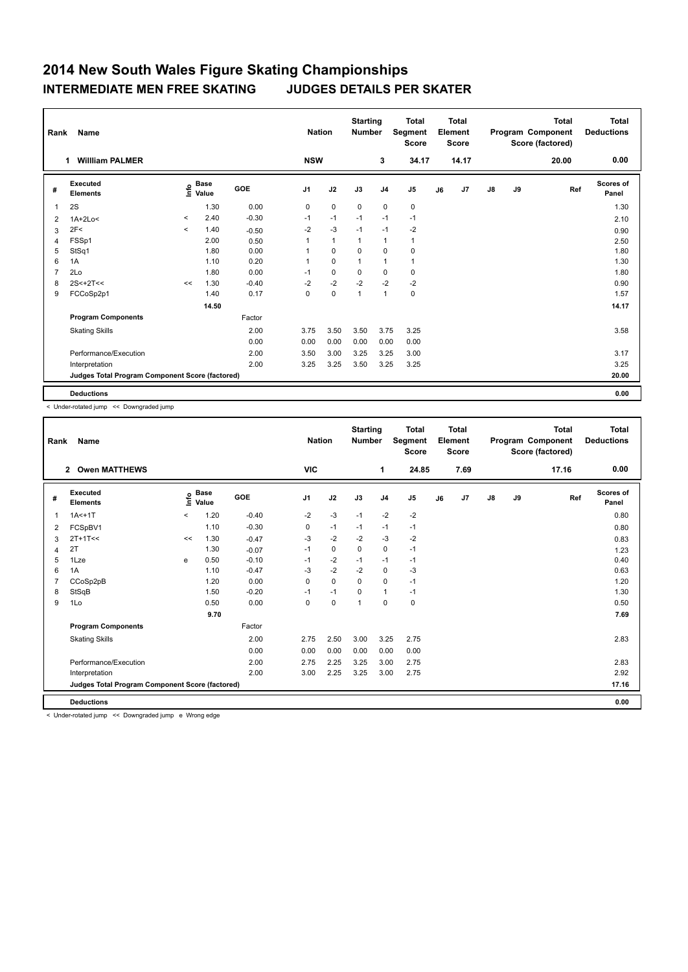## **2014 New South Wales Figure Skating Championships INTERMEDIATE MEN FREE SKATING JUDGES DETAILS PER SKATER**

| <b>Name</b><br>Rank |                                                 |         |                      |         |                | <b>Nation</b> |              | <b>Starting</b><br><b>Number</b> | <b>Total</b><br>Segment<br><b>Score</b> | <b>Total</b><br>Element<br><b>Score</b> |       |               |    | <b>Total</b><br>Program Component<br>Score (factored) | Total<br><b>Deductions</b> |
|---------------------|-------------------------------------------------|---------|----------------------|---------|----------------|---------------|--------------|----------------------------------|-----------------------------------------|-----------------------------------------|-------|---------------|----|-------------------------------------------------------|----------------------------|
|                     | <b>William PALMER</b><br>1                      |         |                      |         | <b>NSW</b>     |               |              | 3                                | 34.17                                   |                                         | 14.17 |               |    | 20.00                                                 | 0.00                       |
| #                   | Executed<br><b>Elements</b>                     | lnfo    | <b>Base</b><br>Value | GOE     | J <sub>1</sub> | J2            | J3           | J <sub>4</sub>                   | J <sub>5</sub>                          | J6                                      | J7    | $\mathsf{J}8$ | J9 | Ref                                                   | <b>Scores of</b><br>Panel  |
| $\overline{1}$      | 2S                                              |         | 1.30                 | 0.00    | 0              | $\mathbf 0$   | $\mathbf 0$  | $\mathbf 0$                      | $\mathbf 0$                             |                                         |       |               |    |                                                       | 1.30                       |
| 2                   | $1A+2Lo<$                                       | $\,<\,$ | 2.40                 | $-0.30$ | $-1$           | $-1$          | $-1$         | $-1$                             | $-1$                                    |                                         |       |               |    |                                                       | 2.10                       |
| 3                   | 2F<                                             | $\prec$ | 1.40                 | $-0.50$ | $-2$           | $-3$          | $-1$         | $-1$                             | $-2$                                    |                                         |       |               |    |                                                       | 0.90                       |
| $\overline{4}$      | FSSp1                                           |         | 2.00                 | 0.50    | 1              | $\mathbf{1}$  | 1            | $\mathbf{1}$                     | $\mathbf{1}$                            |                                         |       |               |    |                                                       | 2.50                       |
| 5                   | StSq1                                           |         | 1.80                 | 0.00    |                | $\mathbf 0$   | $\Omega$     | $\mathbf 0$                      | 0                                       |                                         |       |               |    |                                                       | 1.80                       |
| 6                   | 1A                                              |         | 1.10                 | 0.20    |                | $\mathbf 0$   |              | $\mathbf{1}$                     | $\mathbf{1}$                            |                                         |       |               |    |                                                       | 1.30                       |
| $\overline{7}$      | 2Lo                                             |         | 1.80                 | 0.00    | $-1$           | $\mathbf 0$   | 0            | 0                                | 0                                       |                                         |       |               |    |                                                       | 1.80                       |
| 8                   | $2S < +2T <$                                    | <<      | 1.30                 | $-0.40$ | $-2$           | $-2$          | $-2$         | $-2$                             | $-2$                                    |                                         |       |               |    |                                                       | 0.90                       |
| 9                   | FCCoSp2p1                                       |         | 1.40                 | 0.17    | 0              | $\pmb{0}$     | $\mathbf{1}$ | $\mathbf{1}$                     | 0                                       |                                         |       |               |    |                                                       | 1.57                       |
|                     |                                                 |         | 14.50                |         |                |               |              |                                  |                                         |                                         |       |               |    |                                                       | 14.17                      |
|                     | <b>Program Components</b>                       |         |                      | Factor  |                |               |              |                                  |                                         |                                         |       |               |    |                                                       |                            |
|                     | <b>Skating Skills</b>                           |         |                      | 2.00    | 3.75           | 3.50          | 3.50         | 3.75                             | 3.25                                    |                                         |       |               |    |                                                       | 3.58                       |
|                     |                                                 |         |                      | 0.00    | 0.00           | 0.00          | 0.00         | 0.00                             | 0.00                                    |                                         |       |               |    |                                                       |                            |
|                     | Performance/Execution                           |         |                      | 2.00    | 3.50           | 3.00          | 3.25         | 3.25                             | 3.00                                    |                                         |       |               |    |                                                       | 3.17                       |
|                     | Interpretation                                  |         |                      | 2.00    | 3.25           | 3.25          | 3.50         | 3.25                             | 3.25                                    |                                         |       |               |    |                                                       | 3.25                       |
|                     | Judges Total Program Component Score (factored) |         |                      |         |                |               |              |                                  |                                         |                                         |       |               |    |                                                       | 20.00                      |
|                     | <b>Deductions</b>                               |         |                      |         |                |               |              |                                  |                                         |                                         |       |               |    |                                                       | 0.00                       |

< Under-rotated jump << Downgraded jump

| Name<br>Rank   |                                                 |          |                                  |         |                | <b>Nation</b> |                | <b>Starting</b><br><b>Number</b> | <b>Total</b><br>Segment<br><b>Score</b> | <b>Total</b><br>Element<br><b>Score</b> |      | Program Component<br>Score (factored) |    | <b>Total</b> | <b>Total</b><br><b>Deductions</b> |
|----------------|-------------------------------------------------|----------|----------------------------------|---------|----------------|---------------|----------------|----------------------------------|-----------------------------------------|-----------------------------------------|------|---------------------------------------|----|--------------|-----------------------------------|
|                | 2 Owen MATTHEWS                                 |          |                                  |         | <b>VIC</b>     |               |                | 1                                | 24.85                                   |                                         | 7.69 |                                       |    | 17.16        | 0.00                              |
| #              | Executed<br><b>Elements</b>                     |          | <b>Base</b><br>e Base<br>E Value | GOE     | J <sub>1</sub> | J2            | J3             | J <sub>4</sub>                   | J <sub>5</sub>                          | J6                                      | J7   | $\mathsf{J}8$                         | J9 | Ref          | <b>Scores of</b><br>Panel         |
| $\mathbf{1}$   | $1A < +1T$                                      | $\hat{}$ | 1.20                             | $-0.40$ | $-2$           | -3            | $-1$           | $-2$                             | $-2$                                    |                                         |      |                                       |    |              | 0.80                              |
| 2              | FCSpBV1                                         |          | 1.10                             | $-0.30$ | 0              | $-1$          | $-1$           | $-1$                             | $-1$                                    |                                         |      |                                       |    |              | 0.80                              |
| 3              | $2T+1T<<$                                       | <<       | 1.30                             | $-0.47$ | -3             | $-2$          | $-2$           | -3                               | $-2$                                    |                                         |      |                                       |    |              | 0.83                              |
| $\overline{4}$ | 2T                                              |          | 1.30                             | $-0.07$ | $-1$           | $\pmb{0}$     | $\mathbf 0$    | $\mathbf 0$                      | $-1$                                    |                                         |      |                                       |    |              | 1.23                              |
| 5              | 1Lze                                            | e        | 0.50                             | $-0.10$ | $-1$           | $-2$          | $-1$           | $-1$                             | $-1$                                    |                                         |      |                                       |    |              | 0.40                              |
| 6              | 1A                                              |          | 1.10                             | $-0.47$ | -3             | $-2$          | $-2$           | 0                                | $-3$                                    |                                         |      |                                       |    |              | 0.63                              |
| 7              | CCoSp2pB                                        |          | 1.20                             | 0.00    | 0              | $\mathbf 0$   | $\Omega$       | $\mathbf 0$                      | $-1$                                    |                                         |      |                                       |    |              | 1.20                              |
| 8              | StSqB                                           |          | 1.50                             | $-0.20$ | $-1$           | $-1$          | $\mathbf 0$    | $\mathbf{1}$                     | $-1$                                    |                                         |      |                                       |    |              | 1.30                              |
| 9              | 1Lo                                             |          | 0.50                             | 0.00    | 0              | $\mathbf 0$   | $\overline{1}$ | $\mathbf 0$                      | 0                                       |                                         |      |                                       |    |              | 0.50                              |
|                |                                                 |          | 9.70                             |         |                |               |                |                                  |                                         |                                         |      |                                       |    |              | 7.69                              |
|                | <b>Program Components</b>                       |          |                                  | Factor  |                |               |                |                                  |                                         |                                         |      |                                       |    |              |                                   |
|                | <b>Skating Skills</b>                           |          |                                  | 2.00    | 2.75           | 2.50          | 3.00           | 3.25                             | 2.75                                    |                                         |      |                                       |    |              | 2.83                              |
|                |                                                 |          |                                  | 0.00    | 0.00           | 0.00          | 0.00           | 0.00                             | 0.00                                    |                                         |      |                                       |    |              |                                   |
|                | Performance/Execution                           |          |                                  | 2.00    | 2.75           | 2.25          | 3.25           | 3.00                             | 2.75                                    |                                         |      |                                       |    |              | 2.83                              |
|                | Interpretation                                  |          |                                  | 2.00    | 3.00           | 2.25          | 3.25           | 3.00                             | 2.75                                    |                                         |      |                                       |    |              | 2.92                              |
|                | Judges Total Program Component Score (factored) |          |                                  |         |                |               |                |                                  |                                         |                                         |      |                                       |    |              | 17.16                             |
|                | <b>Deductions</b>                               |          |                                  |         |                |               |                |                                  |                                         |                                         |      |                                       |    |              | 0.00                              |

< Under-rotated jump << Downgraded jump e Wrong edge